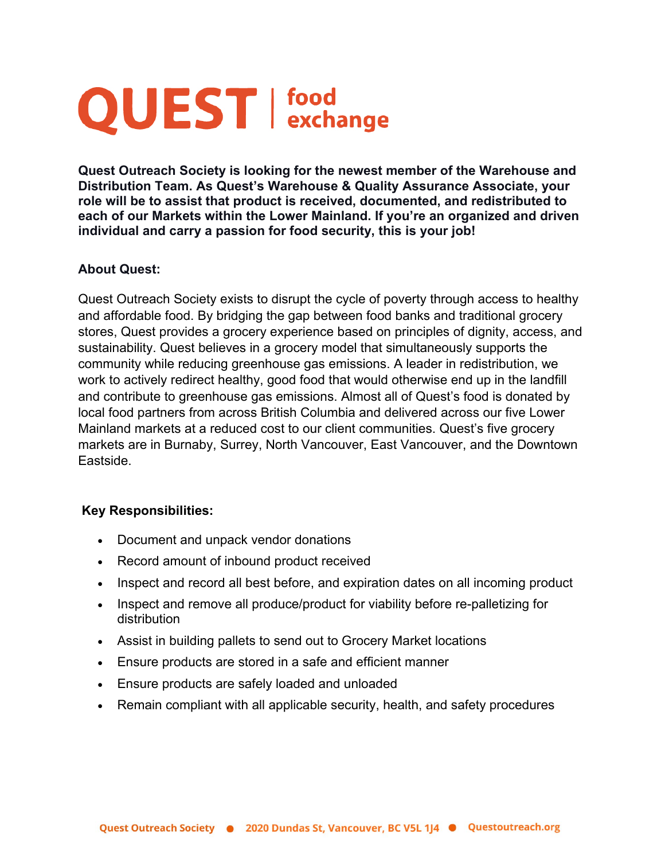## **QUEST** | food

**Quest Outreach Society is looking for the newest member of the Warehouse and Distribution Team. As Quest's Warehouse & Quality Assurance Associate, your role will be to assist that product is received, documented, and redistributed to each of our Markets within the Lower Mainland. If you're an organized and driven individual and carry a passion for food security, this is your job!**

### **About Quest:**

Quest Outreach Society exists to disrupt the cycle of poverty through access to healthy and affordable food. By bridging the gap between food banks and traditional grocery stores, Quest provides a grocery experience based on principles of dignity, access, and sustainability. Quest believes in a grocery model that simultaneously supports the community while reducing greenhouse gas emissions. A leader in redistribution, we work to actively redirect healthy, good food that would otherwise end up in the landfill and contribute to greenhouse gas emissions. Almost all of Quest's food is donated by local food partners from across British Columbia and delivered across our five Lower Mainland markets at a reduced cost to our client communities. Quest's five grocery markets are in Burnaby, Surrey, North Vancouver, East Vancouver, and the Downtown Eastside.

#### **Key Responsibilities:**

- Document and unpack vendor donations
- Record amount of inbound product received
- Inspect and record all best before, and expiration dates on all incoming product
- Inspect and remove all produce/product for viability before re-palletizing for distribution
- Assist in building pallets to send out to Grocery Market locations
- Ensure products are stored in a safe and efficient manner
- Ensure products are safely loaded and unloaded
- Remain compliant with all applicable security, health, and safety procedures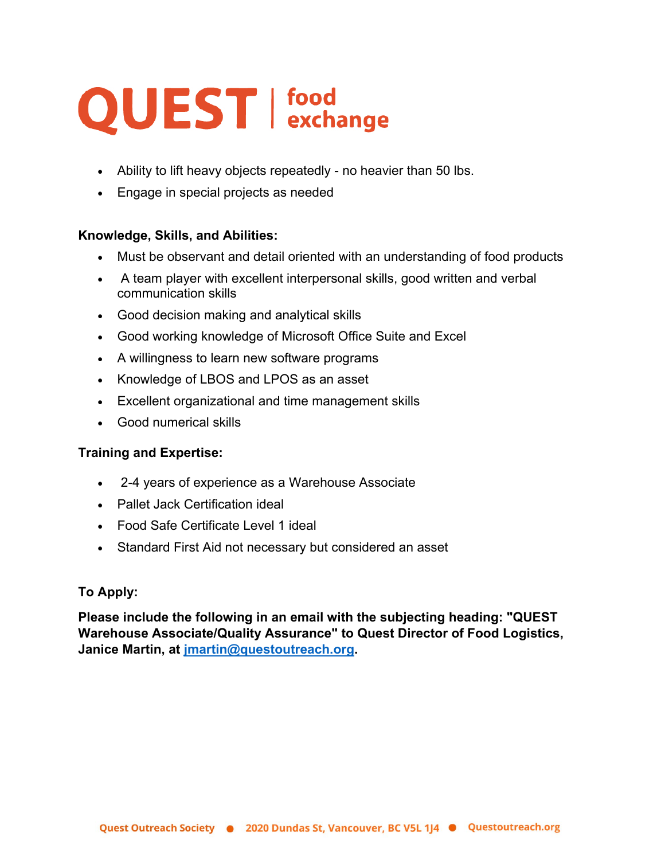# **QUEST** | food

- Ability to lift heavy objects repeatedly no heavier than 50 lbs.
- Engage in special projects as needed

## **Knowledge, Skills, and Abilities:**

- Must be observant and detail oriented with an understanding of food products
- A team player with excellent interpersonal skills, good written and verbal communication skills
- Good decision making and analytical skills
- Good working knowledge of Microsoft Office Suite and Excel
- A willingness to learn new software programs
- Knowledge of LBOS and LPOS as an asset
- Excellent organizational and time management skills
- Good numerical skills

## **Training and Expertise:**

- 2-4 years of experience as a Warehouse Associate
- Pallet Jack Certification ideal
- Food Safe Certificate Level 1 ideal
- Standard First Aid not necessary but considered an asset

## **To Apply:**

**Please include the following in an email with the subjecting heading: "QUEST Warehouse Associate/Quality Assurance" to Quest Director of Food Logistics, Janice Martin, at [jmartin@questoutreach.org.](mailto:jmartin@questoutreach.org)**